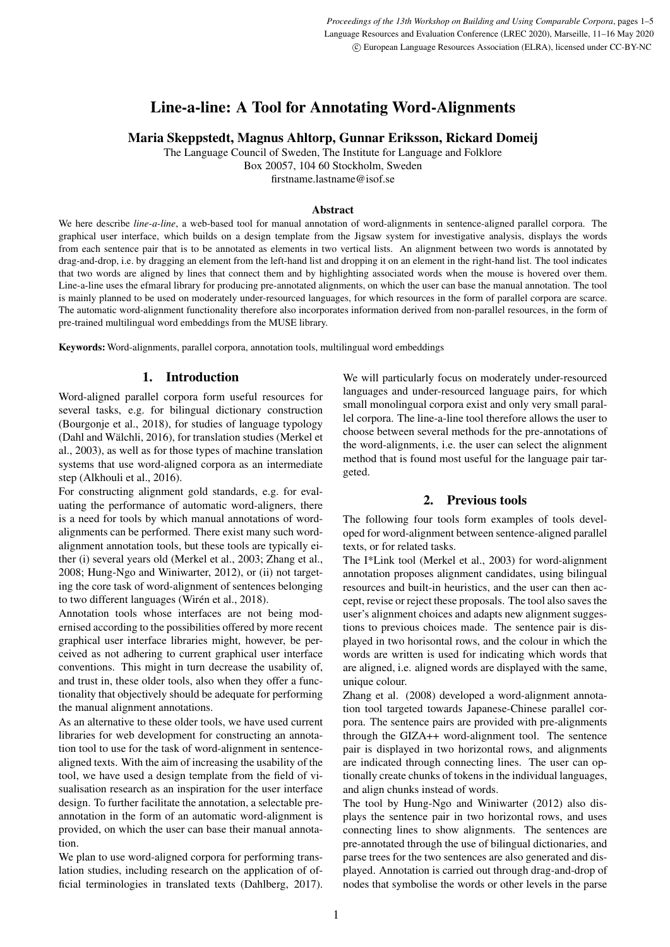# Line-a-line: A Tool for Annotating Word-Alignments

Maria Skeppstedt, Magnus Ahltorp, Gunnar Eriksson, Rickard Domeij

The Language Council of Sweden, The Institute for Language and Folklore

Box 20057, 104 60 Stockholm, Sweden

firstname.lastname@isof.se

#### Abstract

We here describe *line-a-line*, a web-based tool for manual annotation of word-alignments in sentence-aligned parallel corpora. The graphical user interface, which builds on a design template from the Jigsaw system for investigative analysis, displays the words from each sentence pair that is to be annotated as elements in two vertical lists. An alignment between two words is annotated by drag-and-drop, i.e. by dragging an element from the left-hand list and dropping it on an element in the right-hand list. The tool indicates that two words are aligned by lines that connect them and by highlighting associated words when the mouse is hovered over them. Line-a-line uses the efmaral library for producing pre-annotated alignments, on which the user can base the manual annotation. The tool is mainly planned to be used on moderately under-resourced languages, for which resources in the form of parallel corpora are scarce. The automatic word-alignment functionality therefore also incorporates information derived from non-parallel resources, in the form of pre-trained multilingual word embeddings from the MUSE library.

Keywords: Word-alignments, parallel corpora, annotation tools, multilingual word embeddings

## 1. Introduction

Word-aligned parallel corpora form useful resources for several tasks, e.g. for bilingual dictionary construction (Bourgonje et al., 2018), for studies of language typology (Dahl and Wälchli, 2016), for translation studies (Merkel et al., 2003), as well as for those types of machine translation systems that use word-aligned corpora as an intermediate step (Alkhouli et al., 2016).

For constructing alignment gold standards, e.g. for evaluating the performance of automatic word-aligners, there is a need for tools by which manual annotations of wordalignments can be performed. There exist many such wordalignment annotation tools, but these tools are typically either (i) several years old (Merkel et al., 2003; Zhang et al., 2008; Hung-Ngo and Winiwarter, 2012), or (ii) not targeting the core task of word-alignment of sentences belonging to two different languages (Wirén et al., 2018).

Annotation tools whose interfaces are not being modernised according to the possibilities offered by more recent graphical user interface libraries might, however, be perceived as not adhering to current graphical user interface conventions. This might in turn decrease the usability of, and trust in, these older tools, also when they offer a functionality that objectively should be adequate for performing the manual alignment annotations.

As an alternative to these older tools, we have used current libraries for web development for constructing an annotation tool to use for the task of word-alignment in sentencealigned texts. With the aim of increasing the usability of the tool, we have used a design template from the field of visualisation research as an inspiration for the user interface design. To further facilitate the annotation, a selectable preannotation in the form of an automatic word-alignment is provided, on which the user can base their manual annotation.

We plan to use word-aligned corpora for performing translation studies, including research on the application of official terminologies in translated texts (Dahlberg, 2017). We will particularly focus on moderately under-resourced languages and under-resourced language pairs, for which small monolingual corpora exist and only very small parallel corpora. The line-a-line tool therefore allows the user to choose between several methods for the pre-annotations of the word-alignments, i.e. the user can select the alignment method that is found most useful for the language pair targeted.

## 2. Previous tools

The following four tools form examples of tools developed for word-alignment between sentence-aligned parallel texts, or for related tasks.

The I\*Link tool (Merkel et al., 2003) for word-alignment annotation proposes alignment candidates, using bilingual resources and built-in heuristics, and the user can then accept, revise or reject these proposals. The tool also saves the user's alignment choices and adapts new alignment suggestions to previous choices made. The sentence pair is displayed in two horisontal rows, and the colour in which the words are written is used for indicating which words that are aligned, i.e. aligned words are displayed with the same, unique colour.

Zhang et al. (2008) developed a word-alignment annotation tool targeted towards Japanese-Chinese parallel corpora. The sentence pairs are provided with pre-alignments through the GIZA++ word-alignment tool. The sentence pair is displayed in two horizontal rows, and alignments are indicated through connecting lines. The user can optionally create chunks of tokens in the individual languages, and align chunks instead of words.

The tool by Hung-Ngo and Winiwarter (2012) also displays the sentence pair in two horizontal rows, and uses connecting lines to show alignments. The sentences are pre-annotated through the use of bilingual dictionaries, and parse trees for the two sentences are also generated and displayed. Annotation is carried out through drag-and-drop of nodes that symbolise the words or other levels in the parse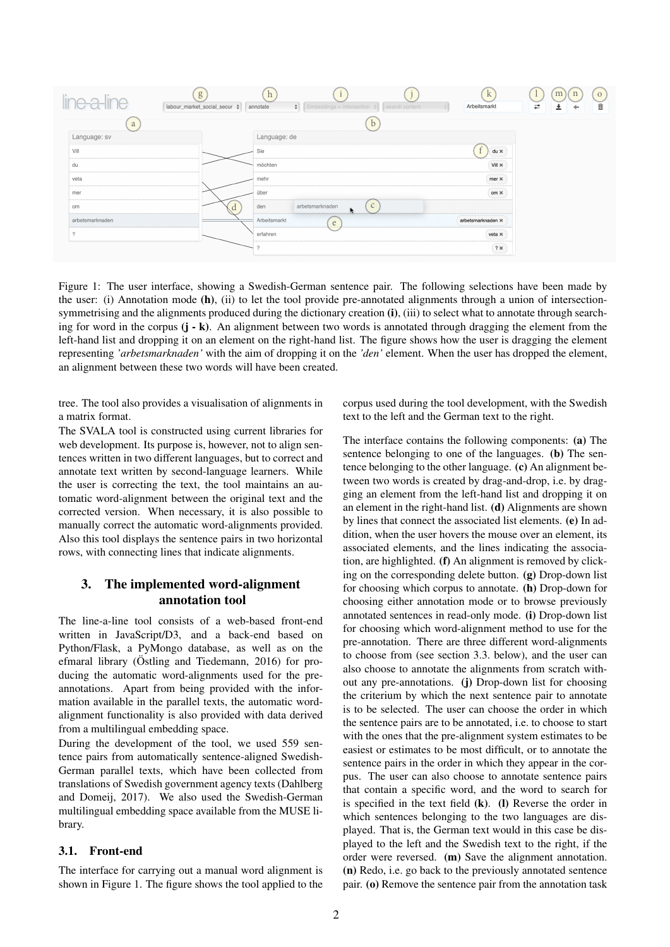

Figure 1: The user interface, showing a Swedish-German sentence pair. The following selections have been made by the user: (i) Annotation mode (h), (ii) to let the tool provide pre-annotated alignments through a union of intersectionsymmetrising and the alignments produced during the dictionary creation (i), (iii) to select what to annotate through searching for word in the corpus  $(j - k)$ . An alignment between two words is annotated through dragging the element from the left-hand list and dropping it on an element on the right-hand list. The figure shows how the user is dragging the element representing *'arbetsmarknaden'* with the aim of dropping it on the *'den'* element. When the user has dropped the element, an alignment between these two words will have been created.

tree. The tool also provides a visualisation of alignments in a matrix format.

The SVALA tool is constructed using current libraries for web development. Its purpose is, however, not to align sentences written in two different languages, but to correct and annotate text written by second-language learners. While the user is correcting the text, the tool maintains an automatic word-alignment between the original text and the corrected version. When necessary, it is also possible to manually correct the automatic word-alignments provided. Also this tool displays the sentence pairs in two horizontal rows, with connecting lines that indicate alignments.

# 3. The implemented word-alignment annotation tool

The line-a-line tool consists of a web-based front-end written in JavaScript/D3, and a back-end based on Python/Flask, a PyMongo database, as well as on the efmaral library (Östling and Tiedemann, 2016) for producing the automatic word-alignments used for the preannotations. Apart from being provided with the information available in the parallel texts, the automatic wordalignment functionality is also provided with data derived from a multilingual embedding space.

During the development of the tool, we used 559 sentence pairs from automatically sentence-aligned Swedish-German parallel texts, which have been collected from translations of Swedish government agency texts (Dahlberg and Domeij, 2017). We also used the Swedish-German multilingual embedding space available from the MUSE library.

#### 3.1. Front-end

The interface for carrying out a manual word alignment is shown in Figure 1. The figure shows the tool applied to the corpus used during the tool development, with the Swedish text to the left and the German text to the right.

The interface contains the following components: (a) The sentence belonging to one of the languages. (b) The sentence belonging to the other language. (c) An alignment between two words is created by drag-and-drop, i.e. by dragging an element from the left-hand list and dropping it on an element in the right-hand list. (d) Alignments are shown by lines that connect the associated list elements. (e) In addition, when the user hovers the mouse over an element, its associated elements, and the lines indicating the association, are highlighted. (f) An alignment is removed by clicking on the corresponding delete button. (g) Drop-down list for choosing which corpus to annotate. (h) Drop-down for choosing either annotation mode or to browse previously annotated sentences in read-only mode. (i) Drop-down list for choosing which word-alignment method to use for the pre-annotation. There are three different word-alignments to choose from (see section 3.3. below), and the user can also choose to annotate the alignments from scratch without any pre-annotations. (j) Drop-down list for choosing the criterium by which the next sentence pair to annotate is to be selected. The user can choose the order in which the sentence pairs are to be annotated, i.e. to choose to start with the ones that the pre-alignment system estimates to be easiest or estimates to be most difficult, or to annotate the sentence pairs in the order in which they appear in the corpus. The user can also choose to annotate sentence pairs that contain a specific word, and the word to search for is specified in the text field (k). (l) Reverse the order in which sentences belonging to the two languages are displayed. That is, the German text would in this case be displayed to the left and the Swedish text to the right, if the order were reversed. (m) Save the alignment annotation. (n) Redo, i.e. go back to the previously annotated sentence pair. (o) Remove the sentence pair from the annotation task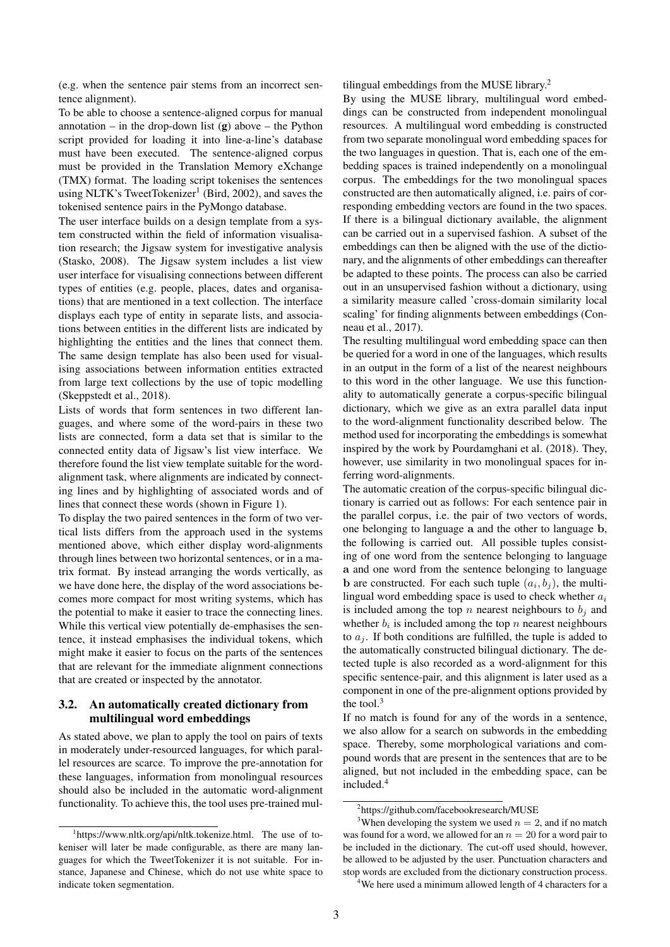(e.g. when the sentence pair stems from an incorrect sentence alignment).

To be able to choose a sentence-aligned corpus for manual annotation – in the drop-down list  $(g)$  above – the Python script provided for loading it into line-a-line's database must have been executed. The sentence-aligned corpus must be provided in the Translation Memory eXchange (TMX) format. The loading script tokenises the sentences using NLTK's TweetTokenizer<sup>1</sup> (Bird, 2002), and saves the tokenised sentence pairs in the PyMongo database.

The user interface builds on a design template from a system constructed within the field of information visualisation research; the Jigsaw system for investigative analysis (Stasko, 2008). The Jigsaw system includes a list view user interface for visualising connections between different types of entities (e.g. people, places, dates and organisations) that are mentioned in a text collection. The interface displays each type of entity in separate lists, and associations between entities in the different lists are indicated by highlighting the entities and the lines that connect them. The same design template has also been used for visualising associations between information entities extracted from large text collections by the use of topic modelling (Skeppstedt et al., 2018).

Lists of words that form sentences in two different languages, and where some of the word-pairs in these two lists are connected, form a data set that is similar to the connected entity data of Jigsaw's list view interface. We therefore found the list view template suitable for the wordalignment task, where alignments are indicated by connecting lines and by highlighting of associated words and of lines that connect these words (shown in Figure 1).

To display the two paired sentences in the form of two vertical lists differs from the approach used in the systems mentioned above, which either display word-alignments through lines between two horizontal sentences, or in a matrix format. By instead arranging the words vertically, as we have done here, the display of the word associations becomes more compact for most writing systems, which has the potential to make it easier to trace the connecting lines. While this vertical view potentially de-emphasises the sentence, it instead emphasises the individual tokens, which might make it easier to focus on the parts of the sentences that are relevant for the immediate alignment connections that are created or inspected by the annotator.

#### 3.2. An automatically created dictionary from multilingual word embeddings

As stated above, we plan to apply the tool on pairs of texts in moderately under-resourced languages, for which parallel resources are scarce. To improve the pre-annotation for these languages, information from monolingual resources should also be included in the automatic word-alignment functionality. To achieve this, the tool uses pre-trained multilingual embeddings from the MUSE library.<sup>2</sup>

By using the MUSE library, multilingual word embeddings can be constructed from independent monolingual resources. A multilingual word embedding is constructed from two separate monolingual word embedding spaces for the two languages in question. That is, each one of the embedding spaces is trained independently on a monolingual corpus. The embeddings for the two monolingual spaces constructed are then automatically aligned, i.e. pairs of corresponding embedding vectors are found in the two spaces. If there is a bilingual dictionary available, the alignment can be carried out in a supervised fashion. A subset of the embeddings can then be aligned with the use of the dictionary, and the alignments of other embeddings can thereafter be adapted to these points. The process can also be carried out in an unsupervised fashion without a dictionary, using a similarity measure called 'cross-domain similarity local scaling' for finding alignments between embeddings (Conneau et al., 2017).

The resulting multilingual word embedding space can then be queried for a word in one of the languages, which results in an output in the form of a list of the nearest neighbours to this word in the other language. We use this functionality to automatically generate a corpus-specific bilingual dictionary, which we give as an extra parallel data input to the word-alignment functionality described below. The method used for incorporating the embeddings is somewhat inspired by the work by Pourdamghani et al. (2018). They, however, use similarity in two monolingual spaces for inferring word-alignments.

The automatic creation of the corpus-specific bilingual dictionary is carried out as follows: For each sentence pair in the parallel corpus, i.e. the pair of two vectors of words, one belonging to language a and the other to language b, the following is carried out. All possible tuples consisting of one word from the sentence belonging to language a and one word from the sentence belonging to language **b** are constructed. For each such tuple  $(a_i, b_j)$ , the multilingual word embedding space is used to check whether  $a_i$ is included among the top n nearest neighbours to  $b_i$  and whether  $b_i$  is included among the top n nearest neighbours to  $a_i$ . If both conditions are fulfilled, the tuple is added to the automatically constructed bilingual dictionary. The detected tuple is also recorded as a word-alignment for this specific sentence-pair, and this alignment is later used as a component in one of the pre-alignment options provided by the tool. $3$ 

If no match is found for any of the words in a sentence, we also allow for a search on subwords in the embedding space. Thereby, some morphological variations and compound words that are present in the sentences that are to be aligned, but not included in the embedding space, can be included.<sup>4</sup>

<sup>&</sup>lt;sup>1</sup>https://www.nltk.org/api/nltk.tokenize.html. The use of tokeniser will later be made configurable, as there are many languages for which the TweetTokenizer it is not suitable. For instance, Japanese and Chinese, which do not use white space to indicate token segmentation.

<sup>2</sup> https://github.com/facebookresearch/MUSE

<sup>&</sup>lt;sup>3</sup>When developing the system we used  $n = 2$ , and if no match was found for a word, we allowed for an  $n = 20$  for a word pair to be included in the dictionary. The cut-off used should, however, be allowed to be adjusted by the user. Punctuation characters and stop words are excluded from the dictionary construction process.

<sup>&</sup>lt;sup>4</sup>We here used a minimum allowed length of 4 characters for a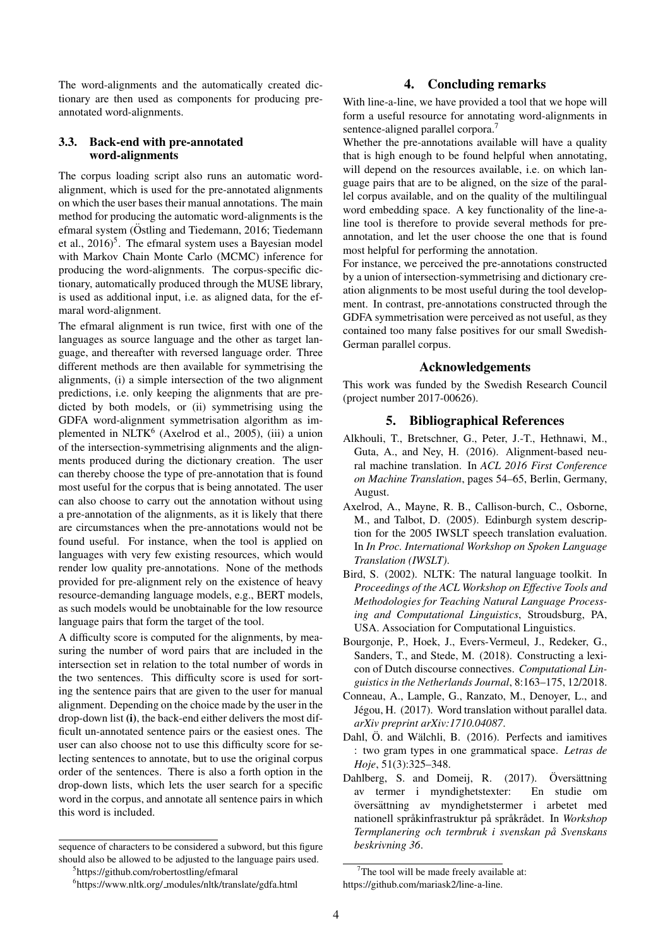The word-alignments and the automatically created dictionary are then used as components for producing preannotated word-alignments.

#### 3.3. Back-end with pre-annotated word-alignments

The corpus loading script also runs an automatic wordalignment, which is used for the pre-annotated alignments on which the user bases their manual annotations. The main method for producing the automatic word-alignments is the efmaral system (Östling and Tiedemann, 2016; Tiedemann et al.,  $2016$ <sup>5</sup>. The efmaral system uses a Bayesian model with Markov Chain Monte Carlo (MCMC) inference for producing the word-alignments. The corpus-specific dictionary, automatically produced through the MUSE library, is used as additional input, i.e. as aligned data, for the efmaral word-alignment.

The efmaral alignment is run twice, first with one of the languages as source language and the other as target language, and thereafter with reversed language order. Three different methods are then available for symmetrising the alignments, (i) a simple intersection of the two alignment predictions, i.e. only keeping the alignments that are predicted by both models, or (ii) symmetrising using the GDFA word-alignment symmetrisation algorithm as implemented in NLTK<sup>6</sup> (Axelrod et al., 2005), (iii) a union of the intersection-symmetrising alignments and the alignments produced during the dictionary creation. The user can thereby choose the type of pre-annotation that is found most useful for the corpus that is being annotated. The user can also choose to carry out the annotation without using a pre-annotation of the alignments, as it is likely that there are circumstances when the pre-annotations would not be found useful. For instance, when the tool is applied on languages with very few existing resources, which would render low quality pre-annotations. None of the methods provided for pre-alignment rely on the existence of heavy resource-demanding language models, e.g., BERT models, as such models would be unobtainable for the low resource language pairs that form the target of the tool.

A difficulty score is computed for the alignments, by measuring the number of word pairs that are included in the intersection set in relation to the total number of words in the two sentences. This difficulty score is used for sorting the sentence pairs that are given to the user for manual alignment. Depending on the choice made by the user in the drop-down list (i), the back-end either delivers the most difficult un-annotated sentence pairs or the easiest ones. The user can also choose not to use this difficulty score for selecting sentences to annotate, but to use the original corpus order of the sentences. There is also a forth option in the drop-down lists, which lets the user search for a specific word in the corpus, and annotate all sentence pairs in which this word is included.

# 4. Concluding remarks

With line-a-line, we have provided a tool that we hope will form a useful resource for annotating word-alignments in sentence-aligned parallel corpora.<sup>7</sup>

Whether the pre-annotations available will have a quality that is high enough to be found helpful when annotating, will depend on the resources available, i.e. on which language pairs that are to be aligned, on the size of the parallel corpus available, and on the quality of the multilingual word embedding space. A key functionality of the line-aline tool is therefore to provide several methods for preannotation, and let the user choose the one that is found most helpful for performing the annotation.

For instance, we perceived the pre-annotations constructed by a union of intersection-symmetrising and dictionary creation alignments to be most useful during the tool development. In contrast, pre-annotations constructed through the GDFA symmetrisation were perceived as not useful, as they contained too many false positives for our small Swedish-German parallel corpus.

## Acknowledgements

This work was funded by the Swedish Research Council (project number 2017-00626).

#### 5. Bibliographical References

- Alkhouli, T., Bretschner, G., Peter, J.-T., Hethnawi, M., Guta, A., and Ney, H. (2016). Alignment-based neural machine translation. In *ACL 2016 First Conference on Machine Translation*, pages 54–65, Berlin, Germany, August.
- Axelrod, A., Mayne, R. B., Callison-burch, C., Osborne, M., and Talbot, D. (2005). Edinburgh system description for the 2005 IWSLT speech translation evaluation. In *In Proc. International Workshop on Spoken Language Translation (IWSLT)*.
- Bird, S. (2002). NLTK: The natural language toolkit. In *Proceedings of the ACL Workshop on Effective Tools and Methodologies for Teaching Natural Language Processing and Computational Linguistics*, Stroudsburg, PA, USA. Association for Computational Linguistics.
- Bourgonje, P., Hoek, J., Evers-Vermeul, J., Redeker, G., Sanders, T., and Stede, M. (2018). Constructing a lexicon of Dutch discourse connectives. *Computational Linguistics in the Netherlands Journal*, 8:163–175, 12/2018.
- Conneau, A., Lample, G., Ranzato, M., Denoyer, L., and Jégou, H. (2017). Word translation without parallel data. *arXiv preprint arXiv:1710.04087*.
- Dahl, Ö. and Wälchli, B. (2016). Perfects and iamitives : two gram types in one grammatical space. *Letras de Hoje*, 51(3):325–348.
- Dahlberg, S. and Domeij, R. (2017). Översättning av termer i myndighetstexter: En studie om översättning av myndighetstermer i arbetet med nationell språkinfrastruktur på språkrådet. In Workshop *Termplanering och termbruk i svenskan pa Svenskans ˚ beskrivning 36*.

sequence of characters to be considered a subword, but this figure should also be allowed to be adjusted to the language pairs used.

<sup>&</sup>lt;sup>5</sup>https://github.com/robertostling/efmaral

 $7$ The tool will be made freely available at: https://github.com/mariask2/line-a-line.

<sup>6</sup> https://www.nltk.org/ modules/nltk/translate/gdfa.html